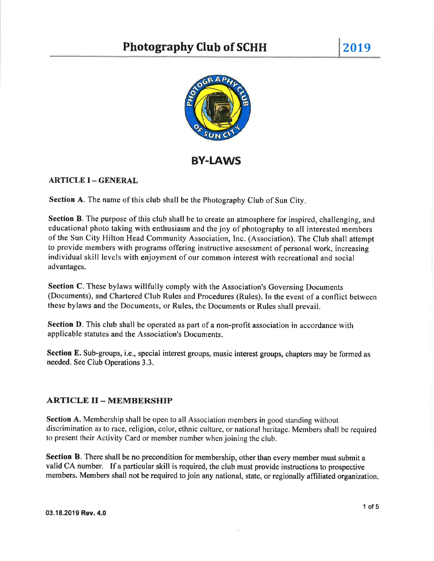

BY-IAWs

# ARTICLE I - GENERAL

Section A. The name of this club shall be the Photography Club of Sun City.

Section B. The purpose of this club shall be to create an atmosphere for inspired, challenging, and educational photo taking with enthusiasm and the joy of photography to all interested members of the Sun City Hilton Head Community Association, Inc. (Association). The Club shall attempt to provide members with programs offering instructive assessment of personal work, increasing individual skill levels with enjoyment of our common interest with recreational and social advantages.

Section C. These bylaws willfully comply with the Association's Governing Documents (Documents), and Chartered Club Rules and Procedures (Rules). In the event of a conflict between these bylaws and the Documents, or Rules, the Documents or Rules shall prevail.

Section D. This club shall be operated as part of a non-profit association in accordance with applicable statutes and the Association's Documents.

Section E. Sub-groups, i.e., special interest groups, music interest groups, chapters may be formed as needed. See Club Operations 3.3.

# ARTICLE II - MEMBERSHIP

Section A. Membership shall be open to all Association members in good standing without discrimination as to race, religion, color, ethnic culture, or national heritage. Members shall be required to present their Activity Card or member number when joining the club.

Section B. There shall be no precondition for membership, other than every member must submit a valid CA number. If a particular skill is required, the club must provide instructions to prospective members. Members shall not be required to join any national, state, or regionally affiliated organization.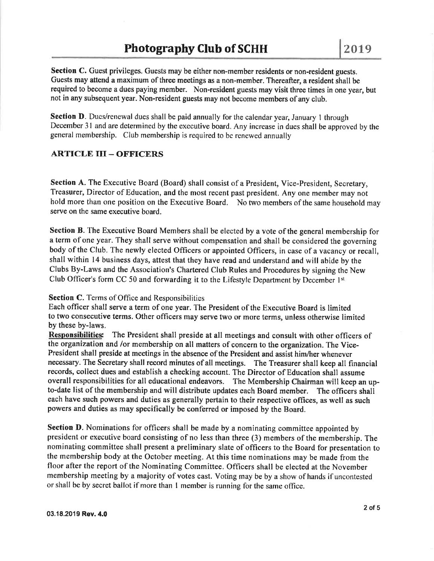Section C. Guest privileges. Guests may be either non-member residents or non-resident guests. Guests may attend a maximum of three meetings as a non-member. Thereafter, a resident shall be required to become a dues paying member. Non-resident guests may visit three times in one year, but not in any subsequent year. Non-resident guests may not become members of any club.

Section D. Dues/renewal dues shall be paid annually for the calendar year, January 1 through December 3l and are determined by the executive board. Any increase in dues shall be approved by the genetal membership. Club membership is required to be renewed annually

### ARTICLE III \_ OFFICERS

Section A. The Executive Board (Board) shall consist of a President, Vice-President, Secretary, Treasurer, Director of Education, and the most recent past president. Any one member may not hold more than one position on the Executive Board. No two members of the same household may serve on the same executive board.

Section B. The Executive Board Members shall be elected by a vote of the general membership for a term of one year. They shall serve without compensation and shall be considered the governing body of the Club. The newly elected Officers or appointed Officers, in case of a vacancy or recall, shall within l4 business days, attest that they have read and understand and will abide by the Clubs By-Laws and the Association's Chartered Club Rules and Procedures by signing the New Club Officer's form CC 50 and forwarding it to the Lifestyle Department by December 1st

## Section C. Terms of Office and Responsibilities

Each officer shall serve a term of one year. The President of the Executive Board is limited to two consecutive terms. Other officers may serve two or more terms, unless otherwise limited by these by-laws.

Responsibilities: The President shall preside at all meetings and consult with other officers of the organization and /or membership on all matters of concern to the organization. The Vice-President shall preside at meetings in the absence of the President and assist him/her whenever necessary. The Secretary shall record minutes of all meetings. The Treasurer shall keep all financial records, collect dues and establish a checking account. The Director of Education shall assume overall responsibilities for all educational endeavors. The Membership Chairman will keep an upto-date list of the membership and will distribute updates each Board member. The officers shall each have such powers and duties as generally pertain to their respective offices, as well as such powers and duties as may specifically be conferred or imposed by the Board.

Section D. Nominations for officers shall be made by a nominating committee appointed by president or executive board consisting of no less than three (3) members of the membership. The nominating committee shall present a preliminary slate of officers to the Board for presentation to the membership body at the October meeting. At this time nominations may be made from the floor after the report of the Nominating Committee, Officers shall be elected at the November membership meeting by a majority of votes cast. Voting may be by a show of hands if uncontested or shall be by secret ballot if more than I member is running for the same office.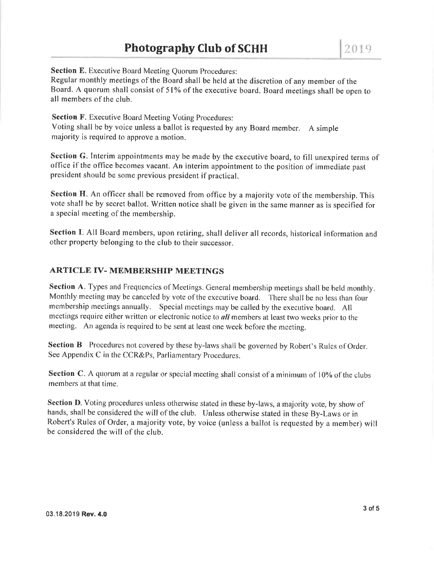Section E. Executive Board Meeting Quorum Procedures:

Regular monthly meetings of the Board shall be held at the discretion of any member of the Board. A quorum shall consist of 5l% of the executive board. Board meetings shall be open to all members of the club.

Section F. Executive Board Meeting Voting Procedures: Voting shall be by voice unless a ballot is requested by any Board member. A simple majority is required to approve a motion.

Section G. Interim appointments may be made by the executive board, to fill unexpired terms of office if the office becomes vacant. An interim appointment to the position of immediate past president should be some previous president if practical.

Section H. An officer shall be removed from office by a majority vote of the membership. This vote shall be by secret ballot. Written notice shall be given in the same manner as is specified for a special meeting of the membership.

Section I. All Board members, upon retiring, shall deliver all records, historical information and other property belonging to the club to their successor.

#### ARTICLE IV- MEMBERSHIP MEETINGS

Section A. Types and Frequencies of Meetings. General membership meetings shall be held monthly. Monthly meeting may be canceled by vote of the executive board. There shall be no less than four membership meetings annually. Special meetings may be called by the executive board. All meetings require either written or electronic notice to *all* members at least two weeks prior to the nreeting. An agenda is required to be sent at least one week beforc the meeting.

Section B Procedures not covered by these by-laws shall be governed by Robert's Rules of Order. See Appendix C in the CCR&Ps, Parliamentary Procedures.

Section C. A quorum at a regular or special meeting shall consist of a minimum of 10% of the clubs members at that time.

Section D. Voting procedures unless otherwise stated in these by-laws, a majority vote, by show of hands, shall be considered the will of the club. Unless otherwise stated in these By-Laws or in Robert's Rules of Order, a majority vote, by voice (unless a ballot is requested by a member) will be considered the will of the club.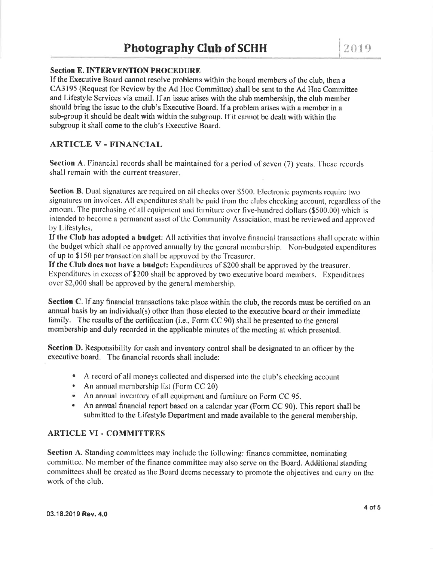# **Section E. INTERVENTION PROCEDURE**

If the Executive Board cannot resolve problems within the board members of the club, then <sup>a</sup> CA3195 (Request for Review by the Ad Hoc Committee) shall be sent to the Ad Hoc Committee and Lifestyle Services via email. If an issue arises with the club membership, the club member should bring the issue to the club's Executive Board. If a problem arises with a member in a sub-group it should be dealt with within the subgroup. If it cannot be dealt with within the subgroup it shall come to the club's Executive Board.

# ARTICLE V - FINANCIAL

Section A. Financial records shall be maintained for a period of seven (7) years. These records shall remain with the current treasurer.

Section B. Dual signatures are required on all checks over \$500. Electronic payments require two signatures on invoices. All expenditures shall be paid from the clubs checking account, regardless of the amount. The purchasing of all equipment and furniture over five-hundred dollars (\$500.00) which is intended to become a permanent asset of the Community Association, must be reviewed and approved by Lifestyles.

If the Club has adopted a budget: All activities that involve financial transactions shall operate within the budget which shall be approved annually by the general membership. Non-budgeted expenditures of up to \$150 per transaction shall be approved by the Treasurer.

If the Club does not have a budget: Expenditures of \$200 shall be approved by the treasurer. Expenditures in excess of \$200 shall be approved by two executive board members. Expenditures over \$2,000 shall be approved by the general membership.

Section C. If any financial transactions take place within the club, the records must be certified on an annual basis by an individual(s) other than those elected to the executive board or their immediate family. The results of the certification (i.e., Form CC 90) shall be presented to the general membership and duly recorded in the applicable minutes of the meeting at which presented.

Section D. Responsibility for cash and inventory control shall be designated to an officer by the executive board. Thc financial records shall include:

- A record of all moneys collected and dispersed into the club's checking account
- An annual membership list (Form CC 20)
- An annual inventory of all equipment and furniture on Form CC 95.
- An annual financial report based on a calendar year (Form CC 90). This report shall be I submitted to the Lifestyle Department and made available to the general membership.

#### ARTICLE VI . COMMITTEES

Section A. Standing committees may include the following: finance committee, nominating committee. No member of the finance committee may also serve on the Board. Additional standing committees shall be created as the Board deems necessary to promote the objectives and carry on the work of the club.